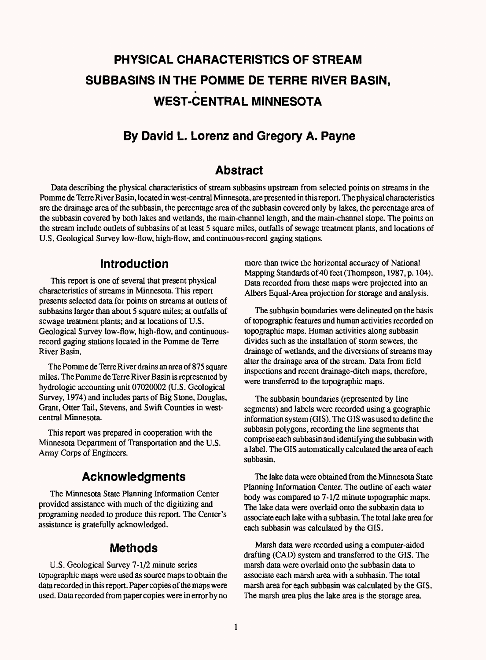# **PHYSICAL CHARACTERISTICS OF STREAM SUBBASINS IN THE POMME DE TERRE RIVER BASIN, WEST-CENTRAL MINNESOTA**

# **By David L. Lorenz and Gregory A. Payne**

## **Abstract**

Data describing the physical characteristics of stream subbasins upstream from selected points on streams in the Pomme de Terre River Basin, located in west-central Minnesota, are presented in this report. The physical characteristics are the drainage area of the subbasin, the percentage area of the subbasin covered only by lakes, the percentage area of the subbasin covered by both lakes and wetlands, the main-channel length, and the main-channel slope. The points on the stream include outlets of subbasins of at least 5 square miles, outfalls of sewage treatment plants, and locations of U.S. Geological Survey low-flow, high-flow, and continuous-record gaging stations.

## **Introduction**

This report is one of several that present physical characteristics of streams in Minnesota. This report presents selected data for points on streams at outlets of subbasins larger than about 5 square miles; at outfalls of sewage treatment plants; and at locations of U.S. Geological Survey low-flow, high-flow, and continuousrecord gaging stations located in the Pomme de Terre River Basin.

The Pomme de Terre River drains an area of 875 square miles. The Pomme de Terre River Basin is represented by hydrologic accounting unit 07020002 (U.S. Geological Survey, 1974) and includes parts of Big Stone, Douglas, Grant, Otter Tail, Stevens, and Swift Counties in westcentral Minnesota.

This report was prepared in cooperation with the Minnesota Department of Transportation and the U.S. Army Corps of Engineers.

# **Acknowledgments**

The Minnesota State Planning Information Center provided assistance with much of the digitizing and programing needed to produce this report. The Center's assistance is gratefully acknowledged.

#### **Methods**

U.S. Geological Survey 7-1/2 minute series topographic maps were used as source maps to obtain the data recorded in this report. Paper copies of the maps were used. Data recorded from paper copies were in error by no

more than twice the horizontal accuracy of National Mapping Standards of 40 feet (Thompson, 1987, p. 104). Data recorded from these maps were projected into an Albers Equal-Area projection for storage and analysis.

The subbasin boundaries were delineated on the basis of topographic features and human activities recorded on topographic maps. Human activities along subbasin divides such as the installation of storm sewers, the drainage of wetlands, and the diversions of streams may alter the drainage area of the stream. Data from field inspections and recent drainage-ditch maps, therefore, were transferred to the topographic maps.

The subbasin boundaries (represented by line segments) and labels were recorded using a geographic information system (GIS). The GIS was used to define the subbasin polygons, recording the line segments that comprise each subbasin and identifying the subbasin with alabel. The GIS automatically calculated the area of each subbasin.

The lake data were obtained from the Minnesota State Planning Information Center. The outline of each water body was compared to 7-1/2 minute topographic maps. The lake data were overlaid onto the subbasin data to associate each lake with a subbasin. The total lake area for each subbasin was calculated by the GIS.

Marsh data were recorded using a computer-aided drafting (CAD) system and transferred to the GIS. The marsh data were overlaid onto the subbasin data to associate each marsh area with a subbasin. The total marsh area for each subbasin was calculated by the GIS. The marsh area plus the lake area is the storage area.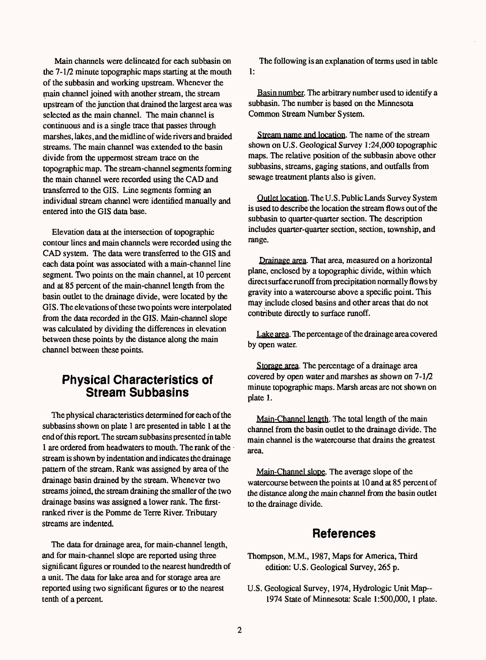Main channels were delineated for each subbasin on the 7-1/2 minute topographic maps starting at the mouth of the subbasin and working upstream. Whenever the main channel joined with another stream, the stream upstream of the junction that drained the largest area was selected as the main channel. The main channel is continuous and is a single trace that passes through marshes, lakes, and the midline of wide rivers and braided streams. The main channel was extended to the basin divide from the uppermost stream trace on the topographic map. The stream-channel segments forming the main channel were recorded using the CAD and transferred to the CIS. Line segments forming an individual stream channel were identified manually and entered into the CIS data base.

Elevation data at the intersection of topographic contour lines and main channels were recorded using the CAD system. The data were transferred to the CIS and each data point was associated with a main-channel line segment. Two points on the main channel, at 10 percent and at 85 percent of the main-channel length from the basin outlet to the drainage divide, were located by the CIS. The elevations of these two points were interpolated from the data recorded in the CIS. Main-channel slope was calculated by dividing the differences in elevation between these points by the distance along the main channel between these points.

## **Physical Characteristics of Stream Subbasins**

The physical characteristics determined for each of the subbasins shown on plate 1 are presented in table 1 at the end of this report. The stream subbasins presented in table 1 are ordered from headwaters to mouth. The rank of the stream is shown by indentation and indicates the drainage pattern of the stream. Rank was assigned by area of the drainage basin drained by the stream. Whenever two streams joined, the stream draining the smaller of the two drainage basins was assigned a lower rank. The firstranked river is the Pomme de Terre River. Tributary streams are indented.

The data for drainage area, for main-channel length, and for main-channel slope are reported using three significant figures or rounded to the nearest hundredth of a unit. The data for lake area and for storage area are reported using two significant figures or to the nearest tenth of a percent

The following is an explanation of terms used in table 1:

Basin number. The arbitrary number used to identify a subbasin. The number is based on the Minnesota Common Stream Number System.

Stream name and location. The name of the stream shown on U.S. Geological Survey 1:24,000 topographic maps. The relative position of the subbasin above other subbasins, streams, gaging stations, and outfalls from sewage treatment plants also is given.

Outlet location. The U.S. Public Lands Survey System is used to describe the location the stream flows out of the subbasin to quarter-quarter section. The description includes quarter-quarter section, section, township, and range.

Drainage area. That area, measured on a horizontal plane, enclosed by a topographic divide, within which direct surface runoff from precipitation normally flows by gravity into a watercourse above a specific point. This may include closed basins and other areas that do not contribute directly to surface runoff.

Lake area. The percentage of the drainage area covered by open water.

Storage area. The percentage of a drainage area covered by open water and marshes as shown on 7-1/2 minute topographic maps. Marsh areas are not shown on plate 1.

Main-Channel length. The total length of the main channel from the basin outlet to the drainage divide. The main channel is the watercourse that drains the greatest area.

Main-Channel slope. The average slope of the watercourse between the points at 10 and at 85 percent of the distance along the main channel from the basin outlet to the drainage divide.

#### **References**

- Thompson, M.M., 1987, Maps for America, Third edition: U.S. Geological Survey, 265 p.
- U.S. Geological Survey, 1974, Hydrologic Unit Map-- 1974 State of Minnesota: Scale 1:500,000,1 plate.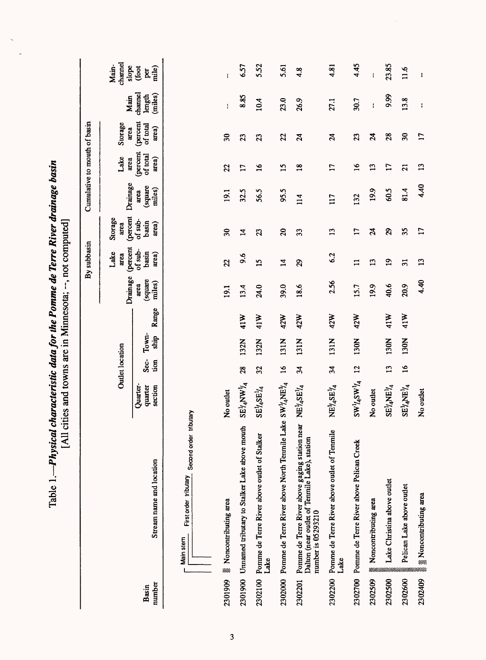|                 |                                                                                                                       | [All cities and towns are in                             |                            |               |       | Minnesota; --, not computed] |                           |                             | Ò                            |                               |                               |                              |                           |
|-----------------|-----------------------------------------------------------------------------------------------------------------------|----------------------------------------------------------|----------------------------|---------------|-------|------------------------------|---------------------------|-----------------------------|------------------------------|-------------------------------|-------------------------------|------------------------------|---------------------------|
|                 |                                                                                                                       |                                                          |                            |               |       |                              | By subbasin               |                             | Cumulative to mouth of basin |                               |                               |                              |                           |
|                 |                                                                                                                       |                                                          | Outlet location            |               |       | Drainage                     | (percent<br>Lake<br>area  | (percent<br>Storage<br>area | Drainage                     | Lake<br>area                  | Storage<br>area               | Main                         | channel<br>Main-<br>slope |
| number<br>Basin | Stream name and location                                                                                              | Quarter-<br>quarter<br>section                           | Sec-<br>tion               | Town-<br>ship | Range | square<br>miles)<br>area     | of sub-<br>basin<br>area) | of sub-<br>basin<br>area)   | square)<br>miles)<br>area    | (percent<br>of total<br>area) | (percent<br>of total<br>area) | channel<br>(miles)<br>length | (foot<br>mile)<br>per     |
|                 | First order tributary Second order tributary<br>Main stem                                                             |                                                          |                            |               |       |                              |                           |                             |                              |                               |                               |                              |                           |
| 2301909         | <b>Noncontributing</b> area                                                                                           | No outlet                                                |                            |               |       | 19.1                         | 22                        | 30                          | 19.1                         | 22                            | 30                            | ł.                           | $\pmb{\cdot}$             |
| 2301900         | Unnamed tributary to Stalker Lake above mouth                                                                         | $\mathrm{SE}^{1\!}A\mathrm{NW}^{1\!}A$                   | 28                         | 132N          | 41W   | 13.4                         | 9.6                       | $\mathbf{z}$                | 32.5                         | 17                            | 23                            | 8.85                         | 6.57                      |
| 2302100         | Pomme de Terre River above outlet of Stalker<br>Lake                                                                  | $SE^{1}_{4}SE^{1}_{4}$                                   | 32                         | 132N          | 41W   | 24.0                         | 15                        | $\mathfrak{B}$              | 56.5                         | $\overline{16}$               | 23                            | 10.4                         | 5.52                      |
| 2302000         | Pomme de Terre River above North Tenmile Lake $\, {\rm SWJy}_4 \rm NE\textsuperscript{1/4}$                           |                                                          | 16                         | 131N          | 42W   | 39.0                         | $\mathbf{z}$              | $\Omega$                    | 95.5                         | 15                            | 22                            | 23.0                         | 5.61                      |
| 2302201         | Pomme de Terre River above gaging station near<br>Dalton (near outlet of Tenmile Lake), station<br>number is 05293210 | NE14SE14                                                 | $\mathbf{z}$               | 131N          | 42W   | 18.6                         | 29                        | 33                          | 114                          | $\frac{8}{18}$                | $\mathcal{Z}$                 | 26.9                         | $\frac{8}{4}$             |
| 2302200         | Pomme de Terre River above outlet of Tenmile<br>Lake                                                                  | $NEV_4SEV_4$                                             | $\mathfrak{p}_\mathcal{E}$ | 131N          | 42W   | 2.56                         | 6.2                       | 13                          | 117                          | 17                            | $\mathcal{Z}$                 | 27.1                         | 4.81                      |
| 2302700         | Pomme de Terre River above Pelican Creek                                                                              | $\text{SW}^1\text{/aSW}^1\text{/a}$                      | 12                         | 130N          | 42W   | 15.7                         | $\mathbf{I}$              | 17                          | 132                          | $\overline{16}$               | 23                            | 30.7                         | 4.45                      |
| 2302509         | Noncontributing area<br>am                                                                                            | No outlet                                                |                            |               |       | 19.9                         | 13                        | $\boldsymbol{z}$            | 19.9                         | 13                            | $\mathbf{z}$                  | ŧ                            | ł                         |
| 2302500         | Lake Christina above outlet                                                                                           | $SE^{1/2}NE^{1/4}$                                       | 13                         | 130N          | 41W   | 40.6                         | 19                        | 29                          | 60.5                         | 17                            | 28                            | 9.99                         | 23.85                     |
| 2302600         | Pelican Lake above outlet                                                                                             | $\mathrm{SE}^\mathrm{I\!}/_4\mathrm{NE}^\mathrm{I\!}/_4$ | $\overline{16}$            | 130N          | 41W   | 20.9                         | $\overline{31}$           | 35                          | 81.4                         | $\overline{2}$                | 30                            | 13.8                         | 1.6                       |
| 2302409         | Rencontributing area                                                                                                  | No outlet                                                |                            |               |       | 4.40                         | 13                        | 17                          | 4.40                         | 13                            | 17                            | $\cdot$                      | $\mathbf{I}$              |

k.

Table 1.—Physical characteristic data for the Pomme de Terre River drainage basin Table 1. *Physical characteristic data for the Pomme de Terre River drainage basin*

 $\ddot{\phantom{0}}$ 

 $\overline{a}$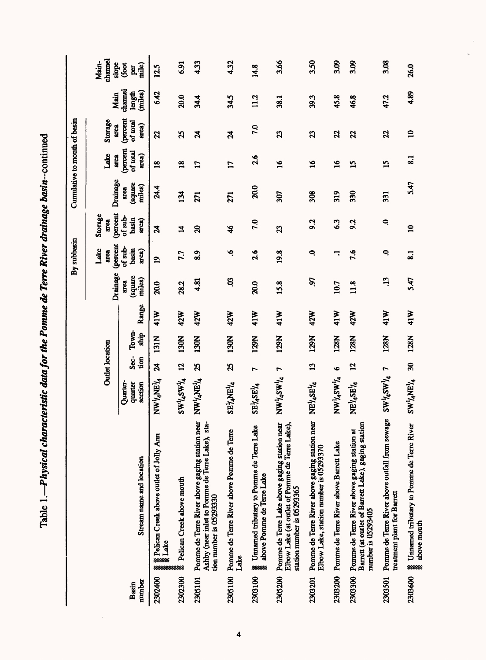Table 1.—Physical characteristic data for the Pomme de Terre River drainage basin-continued Table *1. Physical characteristic data for the Pomme de Terre River drainage basin-continued*

 $\mathcal{L}$ 

|                 |                                                                                                                               |                                      |                        |                         |       |                                  | By subbasin               |                             | Cumulative to mouth of basin |                               |                                      |                              |                           |
|-----------------|-------------------------------------------------------------------------------------------------------------------------------|--------------------------------------|------------------------|-------------------------|-------|----------------------------------|---------------------------|-----------------------------|------------------------------|-------------------------------|--------------------------------------|------------------------------|---------------------------|
|                 |                                                                                                                               |                                      | <b>Outlet location</b> |                         |       | Drainage                         | (percent<br>Lake<br>area  | (percent<br>Storage<br>area | Drainage                     | Lake<br>area                  | Storage<br>area                      | Main                         | channel<br>Main-<br>slope |
| number<br>Basin | Stream name and location                                                                                                      | Quarter-<br>section<br>quarter       | Sec-<br>tion           | Town-<br><u>भि</u><br>7 | Range | square)<br>miles)<br><b>area</b> | of sub-<br>basin<br>area) | $of sub-$<br>basin<br>area) | sdnute)<br>miles)<br>area    | (percent<br>of total<br>area) | <i>(percent</i><br>of total<br>area) | channel<br>(miles)<br>length | mile)<br>(foot<br>per     |
| 2302400         | ▒ Pelican Creek above outlet of Jolly Ann<br>▒ Lake<br>3383333                                                                | NWYANEY4                             | $\boldsymbol{z}$       | Z<br><b>131</b>         | 41W   | 20.0                             | $\mathbf{a}$              | $\boldsymbol{\mu}$          | 24.4                         | $\overline{18}$               | 22                                   | 6.42                         | 12.5                      |
| 2302300         | Pelican Creek above mouth<br>888                                                                                              | $\text{SW}^1\text{/aSW}^1\text{/a}$  | 12                     | 130N                    | 42W   | 28.2                             | 7.7                       | $\mathbf{z}$                | 134                          | $\overline{18}$               | 25                                   | 20.0                         | 6.91                      |
| 2305101         | Pomme de Terre River above gaging station near<br>Ashby (near inlet to Pomme de Terre Lake), sta-<br>tion number is 05293330  | NWYANEY4                             | $\mathbf{z}$           | 130N                    | 42W   | 4.81                             | $\frac{8}{8}$             | $\mathbf{z}$                | 271                          | $\mathbf{17}$                 | $\boldsymbol{\mathcal{Z}}$           | 34.4                         | 4.33                      |
| 2305100         | Pomme de Terre River above Pomme de Terre<br>Lake                                                                             | SEYANEYA                             | 25                     | 130N                    | 42W   | E.                               | ڢ                         | $\frac{1}{2}$               | 271                          | $\mathbf{L}$                  | $\boldsymbol{z}$                     | 34.5                         | 4.32                      |
| 2303100         | Umamed tributary to Pomme de Terre Lake<br>above Pomme de Terre Lake<br>300000000                                             | $SE^{1}_{4}SE^{1}_{4}$               | $\overline{ }$         | 129N                    | 41W   | 20.0                             | 2.6                       | 7.0                         | 20.0                         | 2.6                           | 7.0                                  | 11.2                         | 14.8                      |
| 2305200         | Pomme de Terre Lake above gaging station near<br>Elbow Lake (at outlet of Pomme de Terre Lake),<br>station number is 05293365 | 7 V <sub>r</sub> MS <sup>V</sup> rMN |                        | 129N                    | 41W   | 15.8                             | 19.8                      | $\mathbf{z}$                | 307                          | $\overline{16}$               | $\mathbf{z}$                         | 38.1                         | 3.66                      |
| 2303201         | Pomme de Terre River above gaging station near<br>Elbow Lake, station number is 05293370                                      | NEY4SEY4                             | 13                     | 129N                    | 42W   | S.                               | $\ddot{\phantom{1}}$      | 9.2                         | 308                          | $\overline{16}$               | 23                                   | 39.3                         | 3.50                      |
| 2303200         | Pomme de Terre River above Barrett Lake                                                                                       | NW224WA                              | $\bullet$              | 128N                    | 41W   | 10.7                             | H                         | 6.3                         | 319                          | $\overline{16}$               | 22                                   | 45.8                         | 3.09                      |
| 2303300         | Barrett (at outlet of Barrett Lake), gaging station<br>Pomme de Terre River above gaging station at<br>number is 05293405     | NEY4SEY4                             | 12                     | 128N                    | 42W   | 11.8                             | 7.6                       | 9.2                         | 330                          | 15                            | 22                                   | 46.8                         | 3.09                      |
| 2303501         | Pomme de Terre River above outfall from sewage<br>treatment plant for Barrett                                                 | $S W^1_A S W^1_A$ 7                  |                        | 128N                    | 41W   | .13                              | 0                         | $\ddot{\phantom{1}}$        | 331                          | $\overline{15}$               | 22                                   | 47.2                         | 3.08                      |
| 2303600         | Umamed tributary to Pomme de Terre River<br>above mouth<br>***                                                                | $\text{SW}^1_A \text{NE}^1_A$        | $\frac{30}{2}$         | 128N                    | 41W   | 5.47                             | $\overline{\mathbf{S}}$ . | $\mathbf{a}$                | 5.47                         | $\overline{\mathbf{S}}$       | $\mathbf{Q}$                         | 4.89                         | 26.0                      |

 $\overline{\cdot}$ 

 $\overline{\mathbf{4}}$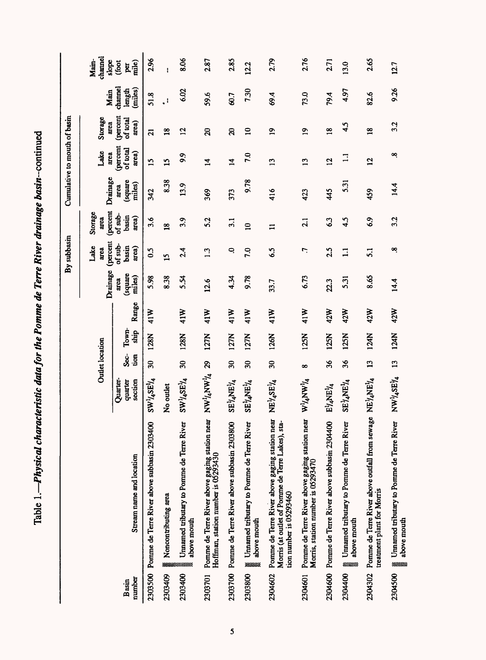Table 1.—Physical characteristic data for the Pomme de Terre River drainage basin-continued **Table 1.** *Physical characteristic data for the Pomme de Terre River drainage* **ftosm continued**

|                 |                                                                                                                               |                                                                                |                        |               |       |                           | By subbasin                   |                                    | Cumulative to mouth of basin |                                      |                               |                              |                           |
|-----------------|-------------------------------------------------------------------------------------------------------------------------------|--------------------------------------------------------------------------------|------------------------|---------------|-------|---------------------------|-------------------------------|------------------------------------|------------------------------|--------------------------------------|-------------------------------|------------------------------|---------------------------|
|                 |                                                                                                                               |                                                                                | <b>Outlet</b> location |               |       | Drainage                  | (percent<br>Lake<br>area      | <i>(percent</i><br>Storage<br>arca | Drainage                     | Lake<br>area                         | Storage<br>area               | Main                         | channel<br>Main-<br>slope |
| number<br>Basin | Stream name and location                                                                                                      | <b>Ouarter-</b><br>quarter<br>section                                          | လွှင့်<br>$\mathbf{t}$ | Town-<br>ship | Range | (square<br>miles)<br>arca | of sub-<br>basin<br>area)     | $of sub-$<br>basin<br>arca)        | (square<br>miles)<br>area    | <i>(percent</i><br>of total<br>area) | (percent<br>of total<br>area) | channel<br>(miles)<br>length | (foot<br>mile)<br>per     |
| 2303500         | Pomme de Terre River above subbasin 2303400                                                                                   | $SW^1/4SE^1/4$                                                                 | $30\,$                 | 128N          | 41W   | 5.98                      | 0.5                           | 3.6                                | 342                          | $\overline{15}$                      | $\overline{a}$                | 51.8                         | 2.96                      |
| 2303409         | Noncontributing area                                                                                                          | No outlet                                                                      |                        |               |       | 8.38                      | $\overline{15}$               | $\overline{18}$                    | 8.38                         | 15                                   | $\overline{18}$               | $\Box$                       | ł                         |
| 2303400         | Unnamed tributary to Pomme de Terre River<br>above mouth<br>*************                                                     | $SW^{1}/4SE^{1}/4$                                                             | 30                     | 128N          | 41W   | $R_{5.5}$                 | 2.4                           | 3.9                                | 13.9                         | 9.9                                  | 12                            | 6.02                         | 8.06                      |
| 2303701         | Pomme de Terre River above gaging station near<br>Hoffman, station number is 05293430                                         | 67 MANY, AND                                                                   |                        | 127N          | 41W   | 12.6                      | ن<br>$\overline{\phantom{0}}$ | 5.2                                | 369                          | $\overline{4}$                       | $\mathbf{z}$                  | 59.6                         | 2.87                      |
| 2303700         | Pomme de Terre River above subbasin 2303800                                                                                   | $\text{SE}^{\dagger}\!/\text{A}\text{NE}^{\dagger}\!/\text{A}$                 | $\overline{30}$        | 127N          | 41W   | 4.34                      | Q                             | 3.1                                | 373                          | $\overline{4}$                       | $\Omega$                      | 60.7                         | 2.85                      |
| 2303800         | Umamed tributary to Pomme de Terre River<br>above mouth<br><b>xxxxxx</b>                                                      | $\mathrm{SE}^{\mathrm{I}}\! \mathcal{U} \mathrm{E}^{\mathrm{I}}\! \mathcal{U}$ | $30\,$                 | 127N          | 41W   | 9.78                      | 7.0                           | $\mathbf{Q}$                       | 9.78                         | 7.0                                  | $\overline{10}$               | 730                          | 12.2                      |
| 2304602         | Pomme de Terre River above gaging station near<br>Morris (at outlet of Pomme de Terre Lakes), sta-<br>tion number is 05293460 | NE <sup>1</sup> /4SE <sup>1</sup> /4                                           | 30                     | 126N          | 41W   | 33.7                      | 6.5                           | $\mathbf{I}$                       | 416                          | $\mathbf{13}$                        | $\overline{a}$                | 69.4                         | 2.79                      |
| 2304601         | Pomme de Terre River above gaging station near<br>Morris, station number is 05293470                                          | $W^1$ <sub>4</sub> WM <sub>4</sub> W                                           | $\infty$               | 125N          | 41W   | 6.73                      | L.                            | 2.1                                | 423                          | 13                                   | $\overline{1}$                | 73.0                         | 2.76                      |
| 2304600         | Pomme de Terre River above subbasin 2304400                                                                                   | $\mathrm{E}\mathcal{V}_4\!\!\!\!\!\times\!\!\mathrm{E}\mathcal{V}_4$           | 36                     | 125N          | 42W   | 22.3                      | 2.5                           | 63                                 | 45                           | $\overline{c}$                       | $\frac{8}{10}$                | 79.4                         | 2.71                      |
| 2304400         | Unnamed tributary to Pomme de Terre River<br>above mouth<br><b>***</b>                                                        | $SE^{1}$ / <sub>4</sub> NE <sup>1</sup> / <sub>4</sub>                         | 36                     | 125N          | 42W   | 5.31                      | $\mathbf{1}$                  | 4.5                                | 5.31                         | $\Xi$                                | 4.5                           | 4.97                         | 13.0                      |
| 2304302         | Pomme de Terre River above outfall from sewage NE/4NE/4<br>treatment plant for Morris                                         |                                                                                | 13                     | 124N          | 42W   | 8.65                      | $\overline{5.1}$              | 6.9                                | 459                          | 12                                   | $\overline{18}$               | 82.6                         | 2.65                      |
| 2304500         | Umamed tributary to Pomme de Terre River<br>above mouth<br>****                                                               | NW14SE14                                                                       | 13                     | 124N          | 42W   | 14.4                      | œ                             | 3.2                                | 14.4                         | œ                                    | 3.2                           | 926                          | 12.7                      |

 $\overline{\mathbf{5}}$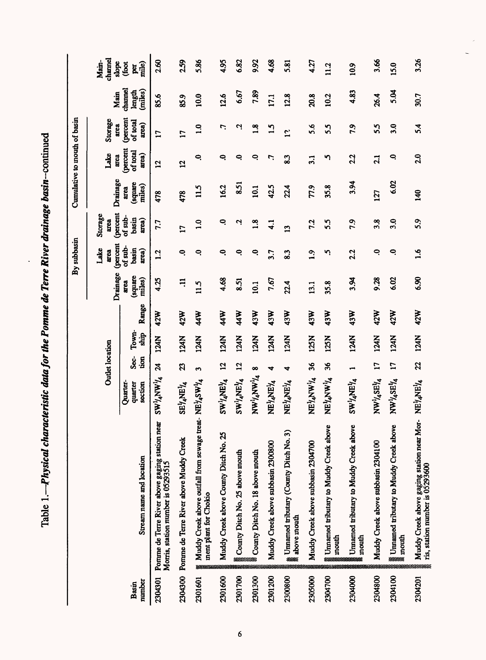Table 1.—Physical characteristic data for the Pomme de Terre River drainage basin-continued **Table 1.** *Physical characteristic data for the Pomme de Terre River drainage* **ftosm-continued**

|                 |                                                                                                            |                                |                          |               |            |                           | By subbasin               |                             | Cumulative to mouth of basin |                               |                                      |                              |                           |
|-----------------|------------------------------------------------------------------------------------------------------------|--------------------------------|--------------------------|---------------|------------|---------------------------|---------------------------|-----------------------------|------------------------------|-------------------------------|--------------------------------------|------------------------------|---------------------------|
|                 |                                                                                                            |                                | <b>Outlet location</b>   |               |            | Drainage                  | (percent<br>Lake<br>area  | (percent<br>Storage<br>arca | Drainage                     | Lake<br>area                  | Storage<br>area                      | Main                         | channel<br>Main-<br>slope |
| number<br>Basin | Stream name and location                                                                                   | Quarter-<br>section<br>quarter | Sec-<br>ion              | Town-<br>ship | Range      | (square<br>miles)<br>area | of sub-<br>basin<br>area) | of sub-<br>basin<br>area)   | (square<br>miles)<br>area    | (percent<br>of total<br>area) | <i>(percent</i><br>of total<br>area) | channel<br>(miles)<br>length | mile)<br>(foot<br>per     |
| 2304301         | Pomme de Terre River above gaging station near<br>Morris, station number is 05293515                       | AVVINANT                       | <b>z</b>                 | 124N          | 42W        | 4.25                      | 2                         | 7.7                         | 478                          | $\mathbf{5}$                  | $\mathbf{L}$                         | 85.6                         | 2.60                      |
| 2304300         | Pomme de Terre River above Muddy Creek                                                                     | SEYANEYA                       | 23                       | 124N          | 42W        | $\Xi$                     | Q                         | $\overline{11}$             | 478                          | $\mathbf{5}$                  | $\mathbf{L}$                         | 85.9                         | 2.59                      |
| 2301601         | Muddy Creek above outfall from sewage treat- NE14SW14<br>ment plant for Chokio                             |                                | 3                        | 124N          | 44W        | 11.5                      | Q                         | $\frac{0}{1}$               | 115                          | Q                             | $\overline{1.0}$                     | 10.0                         | 5.86                      |
| 2301600         | Muddy Creek above County Ditch No. 25                                                                      | $\lambda$ EV <sub>1</sub> WS   | $\mathbf{5}$             | 124N          | <b>44W</b> | 4.68                      | Q                         | Q                           | 162                          | Q                             | 7.                                   | 12.6                         | 4.95                      |
| 2301700         | County Ditch No. 25 above mouth                                                                            | <b>ARIVANEYA</b>               | 12                       | 124N          | <b>44W</b> | 8.51                      | Q                         | Ņ                           | 8.51                         | Q                             | Ņ                                    | 6.67                         | 6.82                      |
| 2301300         | <b>Exampt Ditch No. 18 above mouth</b>                                                                     | AWANYANYA                      | $\infty$                 | 124N          | 43W        | 10.1                      | 0                         | $\frac{8}{10}$              | 10.1                         | ج                             | $\frac{8}{1}$                        | 7.89                         | 9.92                      |
| 2301200         | Muddy Creek above subbasin 2300800                                                                         | NEYANEYA                       | 4                        | 124N          | 43W        | 7.67                      | 3.7                       | $\frac{1}{4}$               | 42.5                         | L.                            | $\mathbf{L}$                         | 17.1                         | 4.68                      |
| 2300800         | the Umamed tributary (County Ditch No. 3)<br>* above mouth                                                 | NEYANEYA                       | 4                        | 124N          | 43W        | 22.4                      | 8.3                       | $\mathbf{13}$               | 22.4                         | 83                            | $\mathbf{L}$                         | 12.8                         | 5.81                      |
| 2305000         | Muddy Creek above subbasin 2304700                                                                         | NEYANW <sup>1</sup> /4         | 36                       | 125N          | 43W        | 13.1                      | 0.1                       | 7.2                         | 77.9                         | 3.1                           | 5.6                                  | 20.8                         | 4.27                      |
| 2304700         | g Umamed tributary to Muddy Creek above<br>g mouth                                                         | NEYANY'/4                      | 36                       | 125N          | 43W        | 35.8                      | η.                        | 5.5                         | 35.8                         | ŋ                             | 55                                   | 10.2                         | 112                       |
| 2304000         | <b>Example 5</b> Informal product to Muddy Creek above<br>mouth                                            | SW1/4NE14                      | $\overline{\phantom{a}}$ | 124N          | 43W        | 3.94                      | 2.2                       | 7.9                         | 3.94                         | 2.2                           | 7.9                                  | 4.83                         | 10.9                      |
| 2304800         | Muddy Creek above subbasin 2304100                                                                         | NW14SE14                       | $\mathbf{L}$             | 124N          | 42W        | 9.28                      | Q                         | 3.8                         | 127                          | $\overline{21}$               | 55                                   | 26.4                         | 3.66                      |
| 2304100         | <b>Example 15</b> Superstandary to Muddy Creek above                                                       | NW14SE14                       | $\mathbf{L}$             | 124N          | 42W        | 6.02                      | Q                         | 3.0                         | 6.02                         | Q                             | 3.0                                  | 5.04                         | 15.0                      |
| 2304201         | Muddy Creek above gaging station near Mor- $N E^{1/4}$ ANE <sup>1</sup> /4 ris, station number is 05293600 |                                | 22                       | 124N          | 42W        | 6.90                      | $\frac{6}{1}$             | 5.9                         | 140                          | 2.0                           | 5.4                                  | 30.7                         | 3.26                      |

 $\frac{1}{\sqrt{2}}$ 

 $\overline{6}$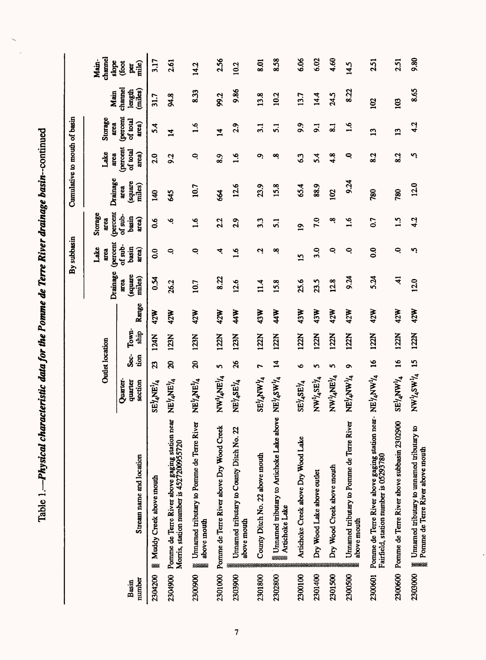Table 1.--Physical characteristic data for the Pomme de Terre River drainage basin-continued Table 1.**—Physical characteristic data for the Pomme de Terre River drainage basin-continued** 

|                 |                                                                                                                                            |                                        |                         |               |            |                           | By subbasin                     |                             | Cumulative to mouth of basin |                                      |                                      |                              |                           |
|-----------------|--------------------------------------------------------------------------------------------------------------------------------------------|----------------------------------------|-------------------------|---------------|------------|---------------------------|---------------------------------|-----------------------------|------------------------------|--------------------------------------|--------------------------------------|------------------------------|---------------------------|
|                 |                                                                                                                                            |                                        | <b>Outlet</b> location  |               |            | Drainage                  | <i>(percent</i><br>Lake<br>area | (percent<br>Storage<br>area | Drainage                     | Lake<br>area                         | Storage<br>area                      | Main                         | channel<br>Main-<br>slope |
| number<br>Basin | Stream name and location                                                                                                                   | Quarter-<br>section<br>quarter         | Sec-<br>นิ่งก           | Town-<br>ship | Range      | samare)<br>miles)<br>atea | of sub-<br>basin<br>area)       | of sub-<br>basin<br>area)   | square<br>miles)<br>area     | <i>(percent</i><br>of total<br>area) | <i>(percent</i><br>of total<br>area) | channel<br>(miles)<br>length | mile)<br>(foot<br>g       |
| 2304200         | <b>EXAMPLE Muddy Creek above mouth</b>                                                                                                     | $\mathrm{SE}^1\!\!A\mathrm{NE}^1\!\!A$ | Z                       | 124N          | 42W        | $K_{0}$                   | $\overline{0}$                  | 0.6                         | $\frac{40}{5}$               | 2.0                                  | 5.4                                  | 31.7                         | 3.17                      |
| 2304900         | Pomme de Terre River above gaging station near<br>Morris, station number is 4527200955720                                                  | NEYANEYA                               | $\mathbf{S}$            | 123N          | 42W        | 26.2                      | Q                               | چ                           | \$                           | 9.2                                  | $\overline{1}$                       | 94.8                         | 2.61                      |
| 2300900         | Umamed tributary to Pomme de Terre River<br>above mouth<br>****                                                                            | NEIANEIA                               | 20                      | 123N          | 42W        | 10.7                      | Q                               | 1.6                         | 10.7                         | ٩                                    | $\frac{6}{1}$                        | 8.33                         | 14.2                      |
| 2301000         | Pomme de Terre River above Dry Wood Creek                                                                                                  | NWYANEY4                               | 5                       | 122N          | 42W        | 8.22                      | 4                               | 2.2                         | 664                          | 8.9                                  | $\overline{\mathbf{u}}$              | 99.2                         | 2.56                      |
| 2303900         | Umamed tributary to County Ditch No. 22<br>above mouth                                                                                     | NE14SE14                               | $\mathcal{S}$           | 123N          | 44W        | 12.6                      | ؋<br>−                          | 2.9                         | 12.6                         | 3.6                                  | 2.9                                  | 9.86                         | 10.2                      |
| 2301800         | County Ditch No. 22 above mouth                                                                                                            | SE <sup>I</sup> /4NW <sup>I</sup> 4    |                         | 122N          | 43W        | 11.4                      | 2                               | $3.\overline{3}$            | 23.9                         | O,                                   | 3.1                                  | 13.8                         | 8.01                      |
| 2302800         | <b>E</b> Umamed tributary to Artichoke Lake above NE <sup>1</sup> /4SW <sup>1</sup> /4<br>artichoke Lake                                   |                                        | $\overline{\mathbf{z}}$ | 122N          | <b>44W</b> | 15.8                      | œ                               | $\overline{51}$             | 15.8                         | œ                                    | 5.1                                  | 10.2                         | 8.58                      |
| 2300100         | Artichoke Creek above Dry Wood Lake                                                                                                        | SE <sup>1</sup> 4SE <sup>1</sup> /4    | Ó                       | 122N          | 43W        | 25.6                      | $\overline{15}$                 | $\mathbf{a}$                | 65.4                         | 63                                   | 9.9                                  | 3.7                          | 6.06                      |
| 2301400         | Dry Wood Lake above outlet                                                                                                                 | NW14SE14                               | n                       | 122N          | 43W        | 23.5                      | 3.0                             | 7.0                         | 88.9                         | 5.4                                  | $\overline{5}$                       | 14.4                         | 6.02                      |
| 2301500         | Dry Wood Creek above mouth                                                                                                                 | $\text{NW}^1\text{/ANE}^1\text{/A}$    | 5                       | 122N          | 42W        | 12.8                      | Q                               | œ                           | 102                          | 4.8                                  | $\overline{\mathbf{S}}$              | 24.5                         | 4.60                      |
| 2300500         | Umamed tributary to Pomme de Terre River<br>above mouth                                                                                    | <b>ATANAYANA</b>                       | $\bullet$               | 122N          | 42W        | 8.24                      | Q                               | 1.6                         | 9.24                         | Q                                    | $\frac{6}{1}$                        | 8.22                         | 14.5                      |
| 2300601         | Pomme de Terre River above gaging station near- NE <sup>1</sup> / <sub>4</sub> NW <sup>1</sup> /4<br>Fairfield, station number is 05293780 |                                        | $\mathbf{5}$            | 122N          | 42W        | 5.24                      | 0.0                             | 0.7                         | 780                          | 8.2                                  | 13                                   | 102                          | 2.51                      |
| 2300600         | Pomme de Terre River above subbasin 2302900                                                                                                | SE <sup>ł</sup> /AVW <sup>1</sup> /4   | $\overline{16}$         | 122N          | 42W        | $\ddot{=}$                | $\ddot{\phantom{1}}$            | 1.5                         | 780                          | 8.2                                  | 13                                   | 103                          | 2.51                      |
| 2303000         | Umamed tributary to umamed tributary to<br>Pomme de Terre River above mouth<br>*****                                                       | NW14SW1/4                              | <b>15</b>               | 122N          | 42W        | 12.0                      | Ç                               | 4.2                         | 12.0                         | ņ                                    | 4.2                                  | 8.65                         | 9.80                      |

 $\overline{1}$ 

 $\ddot{\phantom{0}}$